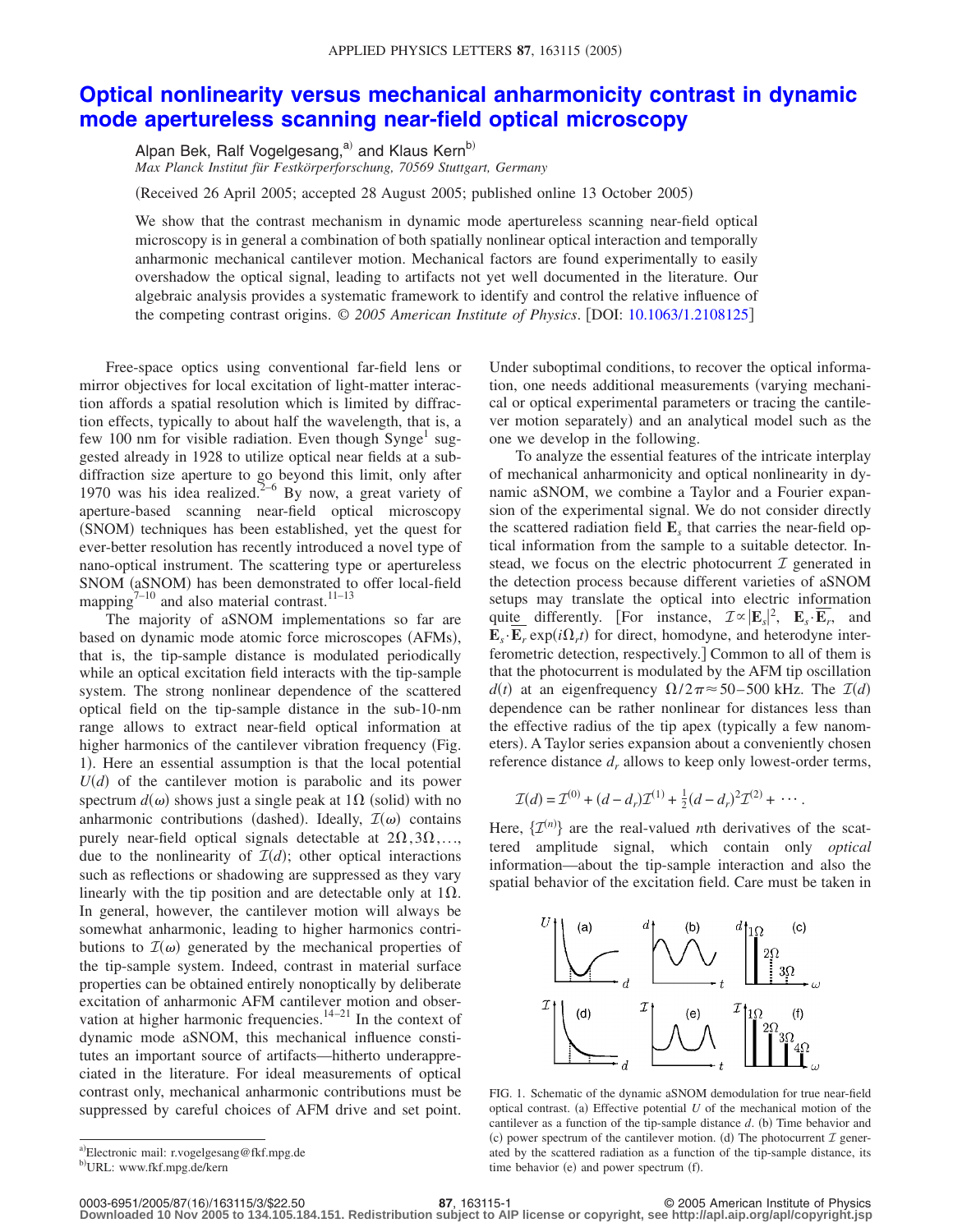## **[Optical nonlinearity versus mechanical anharmonicity contrast in dynamic](http://dx.doi.org/10.1063/1.2108125) [mode apertureless scanning near-field optical microscopy](http://dx.doi.org/10.1063/1.2108125)**

Alpan Bek, Ralf Vogelgesang,<sup>a)</sup> and Klaus Kern<sup>b)</sup> *Max Planck Institut für Festkörperforschung, 70569 Stuttgart, Germany*

Received 26 April 2005; accepted 28 August 2005; published online 13 October 2005-

We show that the contrast mechanism in dynamic mode apertureless scanning near-field optical microscopy is in general a combination of both spatially nonlinear optical interaction and temporally anharmonic mechanical cantilever motion. Mechanical factors are found experimentally to easily overshadow the optical signal, leading to artifacts not yet well documented in the literature. Our algebraic analysis provides a systematic framework to identify and control the relative influence of the competing contrast origins.  $\odot$  2005 American Institute of Physics. [DOI: [10.1063/1.2108125](http://dx.doi.org/10.1063/1.2108125)]

Free-space optics using conventional far-field lens or mirror objectives for local excitation of light-matter interaction affords a spatial resolution which is limited by diffraction effects, typically to about half the wavelength, that is, a few 100 nm for visible radiation. Even though Synge<sup>1</sup> suggested already in 1928 to utilize optical near fields at a subdiffraction size aperture to go beyond this limit, only after 1970 was his idea realized.<sup>2-6</sup> By now, a great variety of aperture-based scanning near-field optical microscopy (SNOM) techniques has been established, yet the quest for ever-better resolution has recently introduced a novel type of nano-optical instrument. The scattering type or apertureless SNOM (aSNOM) has been demonstrated to offer local-field mapping $7^{-10}$  and also material contrast.<sup>11–13</sup>

The majority of aSNOM implementations so far are based on dynamic mode atomic force microscopes (AFMs), that is, the tip-sample distance is modulated periodically while an optical excitation field interacts with the tip-sample system. The strong nonlinear dependence of the scattered optical field on the tip-sample distance in the sub-10-nm range allows to extract near-field optical information at higher harmonics of the cantilever vibration frequency (Fig. 1). Here an essential assumption is that the local potential  $U(d)$  of the cantilever motion is parabolic and its power spectrum  $d(\omega)$  shows just a single peak at 1 $\Omega$  (solid) with no anharmonic contributions (dashed). Ideally,  $\mathcal{I}(\omega)$  contains purely near-field optical signals detectable at  $2\Omega, 3\Omega, \ldots$ , due to the nonlinearity of  $\mathcal{I}(d)$ ; other optical interactions such as reflections or shadowing are suppressed as they vary linearly with the tip position and are detectable only at  $1\Omega$ . In general, however, the cantilever motion will always be somewhat anharmonic, leading to higher harmonics contributions to  $\mathcal{I}(\omega)$  generated by the mechanical properties of the tip-sample system. Indeed, contrast in material surface properties can be obtained entirely nonoptically by deliberate excitation of anharmonic AFM cantilever motion and observation at higher harmonic frequencies. $14-21$  In the context of dynamic mode aSNOM, this mechanical influence constitutes an important source of artifacts—hitherto underappreciated in the literature. For ideal measurements of optical contrast only, mechanical anharmonic contributions must be suppressed by careful choices of AFM drive and set point.

Under suboptimal conditions, to recover the optical information, one needs additional measurements (varying mechanical or optical experimental parameters or tracing the cantilever motion separately) and an analytical model such as the one we develop in the following.

To analyze the essential features of the intricate interplay of mechanical anharmonicity and optical nonlinearity in dynamic aSNOM, we combine a Taylor and a Fourier expansion of the experimental signal. We do not consider directly the scattered radiation field **E***<sup>s</sup>* that carries the near-field optical information from the sample to a suitable detector. Instead, we focus on the electric photocurrent  $\mathcal I$  generated in the detection process because different varieties of aSNOM setups may translate the optical into electric information quite differently. [For instance,  $\mathcal{I} \propto |\mathbf{E}_s|^2$ ,  $\mathbf{E}_s \cdot \overline{\mathbf{E}_r}$ , and  $\mathbf{E}_s \cdot \mathbf{E}_r \exp(i\Omega_r t)$  for direct, homodyne, and heterodyne interferometric detection, respectively.] Common to all of them is that the photocurrent is modulated by the AFM tip oscillation  $d(t)$  at an eigenfrequency  $\Omega/2\pi \approx 50-500$  kHz. The  $\mathcal{I}(d)$ dependence can be rather nonlinear for distances less than the effective radius of the tip apex (typically a few nanometers). A Taylor series expansion about a conveniently chosen reference distance d<sub>r</sub> allows to keep only lowest-order terms,

$$
\mathcal{I}(d) = \mathcal{I}^{(0)} + (d - d_r)\mathcal{I}^{(1)} + \frac{1}{2}(d - d_r)^2\mathcal{I}^{(2)} + \cdots
$$

Here,  $\{\mathcal{I}^{(n)}\}$  are the real-valued *n*th derivatives of the scattered amplitude signal, which contain only *optical* information—about the tip-sample interaction and also the spatial behavior of the excitation field. Care must be taken in



FIG. 1. Schematic of the dynamic aSNOM demodulation for true near-field optical contrast. (a) Effective potential  $U$  of the mechanical motion of the cantilever as a function of the tip-sample distance  $d$ . (b) Time behavior and (c) power spectrum of the cantilever motion. (d) The photocurrent  $\mathcal I$  generated by the scattered radiation as a function of the tip-sample distance, its time behavior (e) and power spectrum (f).

**Downloaded 10 Nov 2005 to 134.105.184.151. Redistribution subject to AIP license or copyright, see http://apl.aip.org/apl/copyright.jsp**

a)Electronic mail: r.vogelgesang@fkf.mpg.de

b) URL: www.fkf.mpg.de/kern

**<sup>87</sup>**, 163115-1 © 2005 American Institute of Physics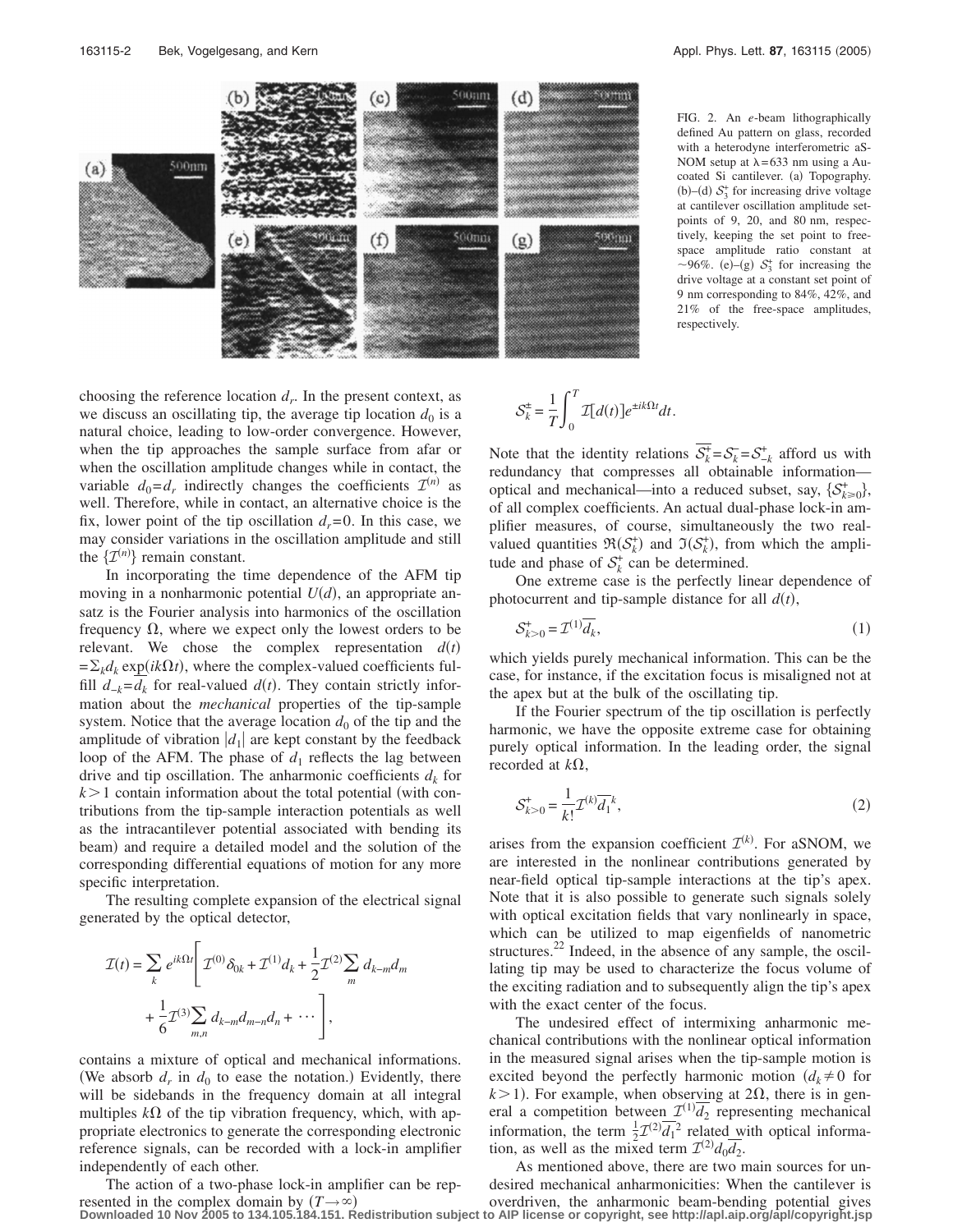

FIG. 2. An *e*-beam lithographically defined Au pattern on glass, recorded with a heterodyne interferometric aS-NOM setup at  $\lambda = 633$  nm using a Aucoated Si cantilever. (a) Topography. (b)–(d)  $S_3^+$  for increasing drive voltage at cantilever oscillation amplitude setpoints of 9, 20, and 80 nm, respectively, keeping the set point to freespace amplitude ratio constant at ~96%. (e)–(g)  $S_3^+$  for increasing the drive voltage at a constant set point of 9 nm corresponding to 84%, 42%, and 21% of the free-space amplitudes, respectively.

choosing the reference location  $d_r$ . In the present context, as we discuss an oscillating tip, the average tip location  $d_0$  is a natural choice, leading to low-order convergence. However, when the tip approaches the sample surface from afar or when the oscillation amplitude changes while in contact, the variable  $d_0 = d_r$  indirectly changes the coefficients  $\mathcal{I}^{(n)}$  as well. Therefore, while in contact, an alternative choice is the fix, lower point of the tip oscillation  $d_r = 0$ . In this case, we may consider variations in the oscillation amplitude and still the  $\{\mathcal{I}^{(n)}\}$  remain constant.

In incorporating the time dependence of the AFM tip moving in a nonharmonic potential  $U(d)$ , an appropriate ansatz is the Fourier analysis into harmonics of the oscillation frequency  $\Omega$ , where we expect only the lowest orders to be relevant. We chose the complex representation  $d(t)$  $=\sum_k d_k \exp(ik\Omega t)$ , where the complex-valued coefficients fulfill  $d_{-k} = d_k$  for real-valued  $d(t)$ . They contain strictly information about the *mechanical* properties of the tip-sample system. Notice that the average location  $d_0$  of the tip and the amplitude of vibration  $|d_1|$  are kept constant by the feedback loop of the AFM. The phase of  $d_1$  reflects the lag between drive and tip oscillation. The anharmonic coefficients  $d_k$  for  $k > 1$  contain information about the total potential (with contributions from the tip-sample interaction potentials as well as the intracantilever potential associated with bending its beam) and require a detailed model and the solution of the corresponding differential equations of motion for any more specific interpretation.

The resulting complete expansion of the electrical signal generated by the optical detector,

$$
\mathcal{I}(t) = \sum_{k} e^{ik\Omega t} \left[ \mathcal{I}^{(0)} \delta_{0k} + \mathcal{I}^{(1)} d_{k} + \frac{1}{2} \mathcal{I}^{(2)} \sum_{m} d_{k-m} d_{m} \right] + \frac{1}{6} \mathcal{I}^{(3)} \sum_{m,n} d_{k-m} d_{m-n} d_{n} + \cdots \right],
$$

contains a mixture of optical and mechanical informations. (We absorb  $d_r$  in  $d_0$  to ease the notation.) Evidently, there will be sidebands in the frequency domain at all integral multiples  $k\Omega$  of the tip vibration frequency, which, with appropriate electronics to generate the corresponding electronic reference signals, can be recorded with a lock-in amplifier independently of each other.

The action of a two-phase lock-in amplifier can be represented in the complex domain by  $(T \rightarrow \infty)$ 

$$
\mathcal{S}_k^{\pm} = \frac{1}{T} \int_0^T \mathcal{I}[d(t)] e^{\pm ik\Omega t} dt.
$$

Note that the identity relations  $\overline{S_k^+} = S_k^- = S_{-k}^+$  afford us with redundancy that compresses all obtainable information optical and mechanical—into a reduced subset, say,  $\{S_{k\geq 0}^+\},$ of all complex coefficients. An actual dual-phase lock-in amplifier measures, of course, simultaneously the two realvalued quantities  $\Re(S_k^+)$  and  $\Im(S_k^+)$ , from which the amplitude and phase of  $S_k^+$  can be determined.

One extreme case is the perfectly linear dependence of photocurrent and tip-sample distance for all  $d(t)$ ,

$$
\mathcal{S}_{k>0}^+ = \mathcal{I}^{(1)} \overline{d_k},\tag{1}
$$

which yields purely mechanical information. This can be the case, for instance, if the excitation focus is misaligned not at the apex but at the bulk of the oscillating tip.

If the Fourier spectrum of the tip oscillation is perfectly harmonic, we have the opposite extreme case for obtaining purely optical information. In the leading order, the signal recorded at  $k\Omega$ ,

$$
\mathcal{S}_{k>0}^{+} = \frac{1}{k!} \mathcal{I}^{(k)} \overline{d_1}^k, \tag{2}
$$

arises from the expansion coefficient  $\mathcal{I}^{(k)}$ . For aSNOM, we are interested in the nonlinear contributions generated by near-field optical tip-sample interactions at the tip's apex. Note that it is also possible to generate such signals solely with optical excitation fields that vary nonlinearly in space, which can be utilized to map eigenfields of nanometric structures. $22$  Indeed, in the absence of any sample, the oscillating tip may be used to characterize the focus volume of the exciting radiation and to subsequently align the tip's apex with the exact center of the focus.

The undesired effect of intermixing anharmonic mechanical contributions with the nonlinear optical information in the measured signal arises when the tip-sample motion is excited beyond the perfectly harmonic motion  $(d_k \neq 0)$  for  $k > 1$ ). For example, when observing at  $2\Omega$ , there is in general a competition between  $\mathcal{I}^{(1)}\overline{d_2}$  representing mechanical information, the term  $\frac{1}{2}\mathcal{I}^{(2)}\overline{d_1}^2$  related with optical information, as well as the mixed term  $\mathcal{I}^{(2)} d_0 \overline{d_2}$ .

 **Downloaded 10 Nov 2005 to 134.105.184.151. Redistribution subject to AIP license or copyright, see http://apl.aip.org/apl/copyright.jsp**As mentioned above, there are two main sources for undesired mechanical anharmonicities: When the cantilever is overdriven, the anharmonic beam-bending potential gives